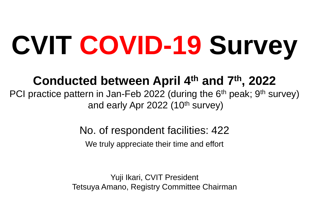# **CVIT COVID-19 Survey**

# **Conducted between April 4th and 7th, 2022**

PCI practice pattern in Jan-Feb 2022 (during the 6<sup>th</sup> peak; 9<sup>th</sup> survey) and early Apr 2022  $(10^{th}$  survey)

No. of respondent facilities: 422

We truly appreciate their time and effort

Yuji Ikari, CVIT President Tetsuya Amano, Registry Committee Chairman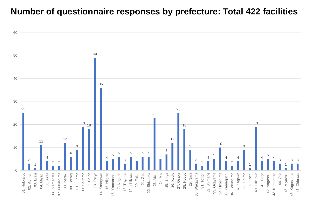#### **Number of questionnaire responses by prefecture: Total 422 facilities**

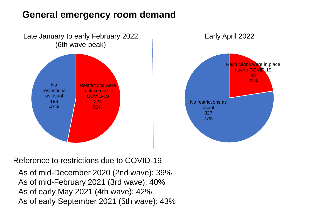### **General emergency room demand**





Reference to restrictions due to COVID-19

As of mid-December 2020 (2nd wave): 39% As of mid-February 2021 (3rd wave): 40% As of early May 2021 (4th wave): 42% As of early September 2021 (5th wave): 43%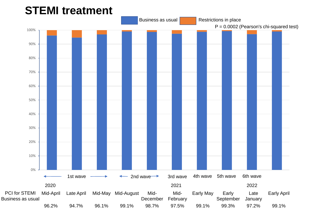## **STEMI treatment**

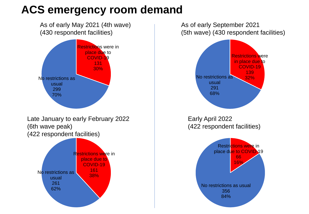# **ACS emergency room demand**

As of early May 2021 (4th wave) (430 respondent facilities)



Late January to early February 2022 (6th wave peak) (422 respondent facilities)



As of early September 2021 (5th wave) (430 respondent facilities)

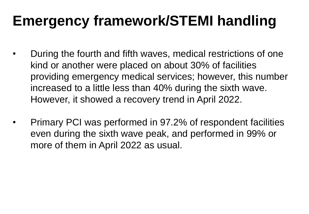# **Emergency framework/STEMI handling**

- During the fourth and fifth waves, medical restrictions of one kind or another were placed on about 30% of facilities providing emergency medical services; however, this number increased to a little less than 40% during the sixth wave. However, it showed a recovery trend in April 2022.
- Primary PCI was performed in 97.2% of respondent facilities even during the sixth wave peak, and performed in 99% or more of them in April 2022 as usual.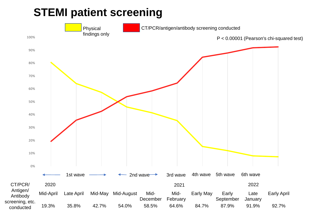# **STEMI patient screening**

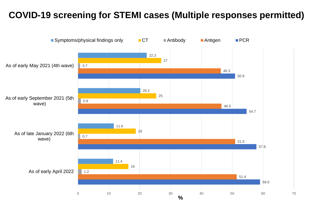#### **COVID-19 screening for STEMI cases (Multiple responses permitted)**

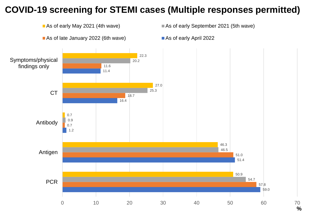#### **COVID-19 screening for STEMI cases (Multiple responses permitted)**



**%**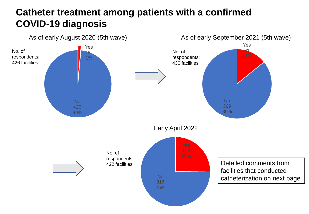#### **Catheter treatment among patients with a confirmed COVID-19 diagnosis**

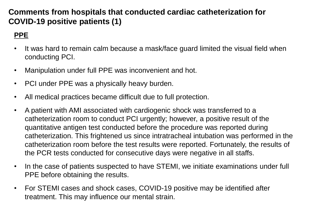#### **Comments from hospitals that conducted cardiac catheterization for COVID-19 positive patients (1)**

#### **PPE**

- It was hard to remain calm because a mask/face guard limited the visual field when conducting PCI.
- Manipulation under full PPE was inconvenient and hot.
- PCI under PPE was a physically heavy burden.
- All medical practices became difficult due to full protection.
- A patient with AMI associated with cardiogenic shock was transferred to a catheterization room to conduct PCI urgently; however, a positive result of the quantitative antigen test conducted before the procedure was reported during catheterization. This frightened us since intratracheal intubation was performed in the catheterization room before the test results were reported. Fortunately, the results of the PCR tests conducted for consecutive days were negative in all staffs.
- In the case of patients suspected to have STEMI, we initiate examinations under full PPE before obtaining the results.
- For STEMI cases and shock cases, COVID-19 positive may be identified after treatment. This may influence our mental strain.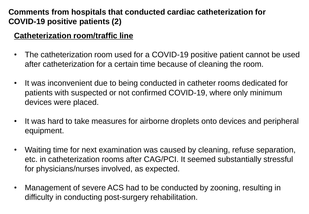#### **Comments from hospitals that conducted cardiac catheterization for COVID-19 positive patients (2)**

#### **Catheterization room/traffic line**

- The catheterization room used for a COVID-19 positive patient cannot be used after catheterization for a certain time because of cleaning the room.
- It was inconvenient due to being conducted in catheter rooms dedicated for patients with suspected or not confirmed COVID-19, where only minimum devices were placed.
- It was hard to take measures for airborne droplets onto devices and peripheral equipment.
- Waiting time for next examination was caused by cleaning, refuse separation, etc. in catheterization rooms after CAG/PCI. It seemed substantially stressful for physicians/nurses involved, as expected.
- Management of severe ACS had to be conducted by zooning, resulting in difficulty in conducting post-surgery rehabilitation.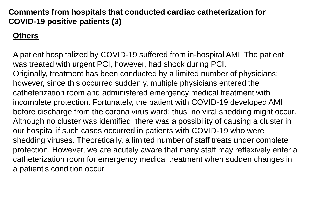#### **Comments from hospitals that conducted cardiac catheterization for COVID-19 positive patients (3)**

#### **Others**

A patient hospitalized by COVID-19 suffered from in-hospital AMI. The patient was treated with urgent PCI, however, had shock during PCI. Originally, treatment has been conducted by a limited number of physicians; however, since this occurred suddenly, multiple physicians entered the catheterization room and administered emergency medical treatment with incomplete protection. Fortunately, the patient with COVID-19 developed AMI before discharge from the corona virus ward; thus, no viral shedding might occur. Although no cluster was identified, there was a possibility of causing a cluster in our hospital if such cases occurred in patients with COVID-19 who were shedding viruses. Theoretically, a limited number of staff treats under complete protection. However, we are acutely aware that many staff may reflexively enter a catheterization room for emergency medical treatment when sudden changes in a patient's condition occur.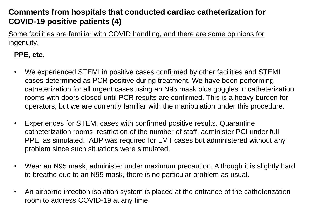#### **Comments from hospitals that conducted cardiac catheterization for COVID-19 positive patients (4)**

Some facilities are familiar with COVID handling, and there are some opinions for ingenuity.

#### **PPE, etc.**

- We experienced STEMI in positive cases confirmed by other facilities and STEMI cases determined as PCR-positive during treatment. We have been performing catheterization for all urgent cases using an N95 mask plus goggles in catheterization rooms with doors closed until PCR results are confirmed. This is a heavy burden for operators, but we are currently familiar with the manipulation under this procedure.
- Experiences for STEMI cases with confirmed positive results. Quarantine catheterization rooms, restriction of the number of staff, administer PCI under full PPE, as simulated. IABP was required for LMT cases but administered without any problem since such situations were simulated.
- Wear an N95 mask, administer under maximum precaution. Although it is slightly hard to breathe due to an N95 mask, there is no particular problem as usual.
- An airborne infection isolation system is placed at the entrance of the catheterization room to address COVID-19 at any time.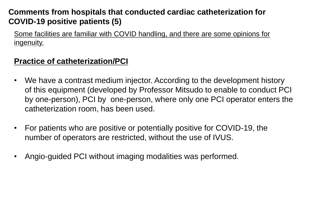#### **Comments from hospitals that conducted cardiac catheterization for COVID-19 positive patients (5)**

Some facilities are familiar with COVID handling, and there are some opinions for ingenuity.

#### **Practice of catheterization/PCI**

- We have a contrast medium injector. According to the development history of this equipment (developed by Professor Mitsudo to enable to conduct PCI by one-person), PCI by one-person, where only one PCI operator enters the catheterization room, has been used.
- For patients who are positive or potentially positive for COVID-19, the number of operators are restricted, without the use of IVUS.
- Angio-guided PCI without imaging modalities was performed.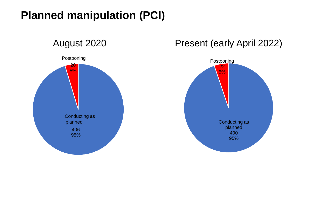# **Planned manipulation (PCI)**



#### Present (early April 2022)

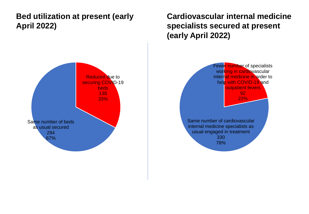#### **Bed utilization at present (early April 2022)**



**Cardiovascular internal medicine specialists secured at present (early April 2022)**

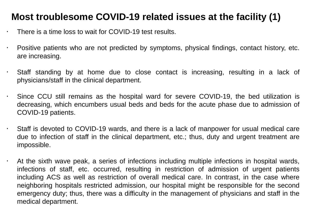#### **Most troublesome COVID-19 related issues at the facility (1)**

There is a time loss to wait for COVID-19 test results.

- Positive patients who are not predicted by symptoms, physical findings, contact history, etc. are increasing.
- Staff standing by at home due to close contact is increasing, resulting in a lack of physicians/staff in the clinical department.
- Since CCU still remains as the hospital ward for severe COVID-19, the bed utilization is decreasing, which encumbers usual beds and beds for the acute phase due to admission of COVID-19 patients.
- Staff is devoted to COVID-19 wards, and there is a lack of manpower for usual medical care due to infection of staff in the clinical department, etc.; thus, duty and urgent treatment are impossible.
- $\cdot$  At the sixth wave peak, a series of infections including multiple infections in hospital wards, infections of staff, etc. occurred, resulting in restriction of admission of urgent patients including ACS as well as restriction of overall medical care. In contrast, in the case where neighboring hospitals restricted admission, our hospital might be responsible for the second emergency duty; thus, there was a difficulty in the management of physicians and staff in the medical department.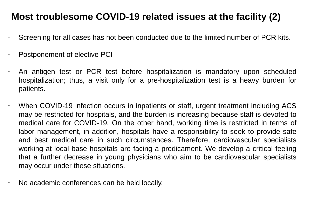#### **Most troublesome COVID-19 related issues at the facility (2)**

- Screening for all cases has not been conducted due to the limited number of PCR kits.
- Postponement of elective PCI
- An antigen test or PCR test before hospitalization is mandatory upon scheduled hospitalization; thus, a visit only for a pre-hospitalization test is a heavy burden for patients.
- When COVID-19 infection occurs in inpatients or staff, urgent treatment including ACS may be restricted for hospitals, and the burden is increasing because staff is devoted to medical care for COVID-19. On the other hand, working time is restricted in terms of labor management, in addition, hospitals have a responsibility to seek to provide safe and best medical care in such circumstances. Therefore, cardiovascular specialists working at local base hospitals are facing a predicament. We develop a critical feeling that a further decrease in young physicians who aim to be cardiovascular specialists may occur under these situations.
	- No academic conferences can be held locally.